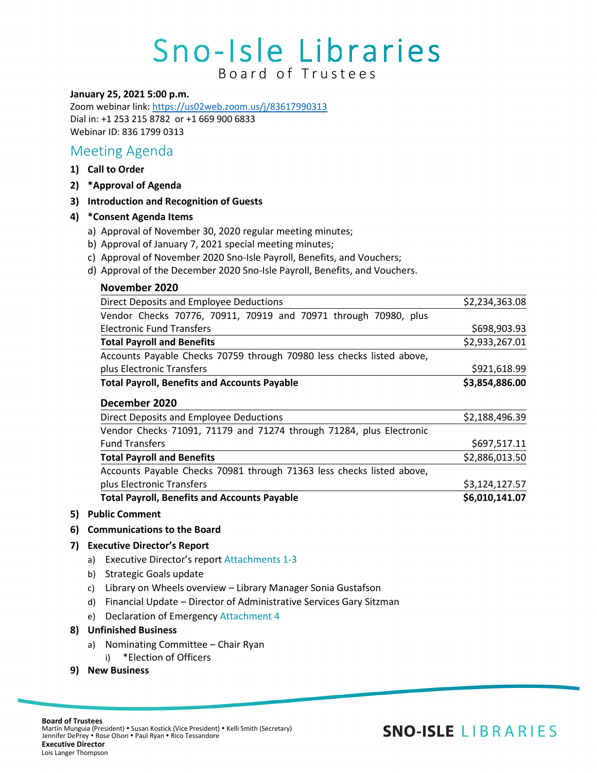# Sno-Isle Libraries B o ard of Trustees

#### **January 25, 2021 5:00 p.m.**

Zoom webinar link[: https://us02web.zoom.us/j/83617990313](https://us02web.zoom.us/j/83617990313) Dial in: +1 253 215 8782 or +1 669 900 6833 Webinar ID: 836 1799 0313

## Meeting Agenda

- **1) Call to Order**
- **2) \*Approval of Agenda**
- **3) Introduction and Recognition of Guests**

### **4) \*Consent Agenda Items**

- a) Approval of November 30, 2020 regular meeting minutes;
- b) Approval of January 7, 2021 special meeting minutes;
- c) Approval of November 2020 Sno-Isle Payroll, Benefits, and Vouchers;
- d) Approval of the December 2020 Sno-Isle Payroll, Benefits, and Vouchers.

| November 2020                                                         |                |
|-----------------------------------------------------------------------|----------------|
| Direct Deposits and Employee Deductions                               | \$2,234,363.08 |
| Vendor Checks 70776, 70911, 70919 and 70971 through 70980, plus       |                |
| Electronic Fund Transfers                                             | \$698,903.93   |
| <b>Total Payroll and Benefits</b>                                     | \$2,933,267.01 |
| Accounts Payable Checks 70759 through 70980 less checks listed above, |                |
| plus Electronic Transfers                                             | \$921,618.99   |
| <b>Total Payroll, Benefits and Accounts Payable</b>                   | \$3,854,886.00 |
| December 2020                                                         |                |
| Direct Deposits and Employee Deductions                               | \$2,188,496.39 |
| Vendor Checks 71091, 71179 and 71274 through 71284, plus Electronic   |                |
| <b>Fund Transfers</b>                                                 | \$697,517.11   |
| <b>Total Payroll and Benefits</b>                                     | \$2,886,013.50 |
| Accounts Payable Checks 70981 through 71363 less checks listed above, |                |
| plus Electronic Transfers                                             | \$3,124,127.57 |
| <b>Total Payroll, Benefits and Accounts Payable</b>                   | \$6,010,141.07 |

- **5) Public Comment**
- **6) Communications to the Board**

### **7) Executive Director's Report**

- a) Executive Director's report Attachments 1-3
- b) Strategic Goals update
- c) Library on Wheels overview Library Manager Sonia Gustafson
- d) Financial Update Director of Administrative Services Gary Sitzman
- e) Declaration of Emergency Attachment 4

### **8) Unfinished Business**

- a) Nominating Committee Chair Ryan
- i) \*Election of Officers
- **9) New Business**